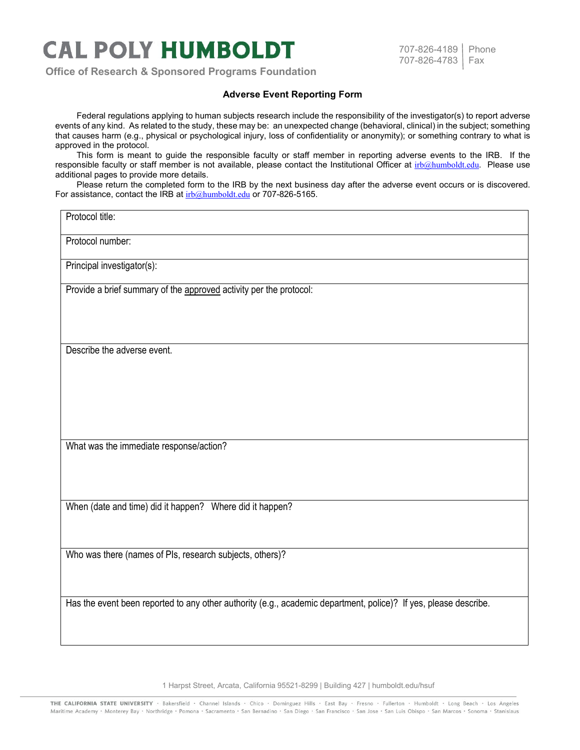## **CAL POLY HUMBOLDT**

**Office of Research & Sponsored Programs Foundation**

## 707-826-4189 | Phone 707-826-4783 Fax

## **Adverse Event Reporting Form**

Federal regulations applying to human subjects research include the responsibility of the investigator(s) to report adverse events of any kind. As related to the study, these may be: an unexpected change (behavioral, clinical) in the subject; something that causes harm (e.g., physical or psychological injury, loss of confidentiality or anonymity); or something contrary to what is approved in the protocol.

This form is meant to guide the responsible faculty or staff member in reporting adverse events to the IRB. If the responsible faculty or staff member is not available, please contact the Institutional Officer at [irb@humboldt.edu](mailto:irb@humboldt.edu). Please use additional pages to provide more details.

Please return the completed form to the IRB by the next business day after the adverse event occurs or is discovered. For assistance, contact the IRB at [irb@humboldt.edu](mailto:irb@humboldt.edu) or 707-826-5165.

## Protocol title:

Protocol number:

Principal investigator(s):

Provide a brief summary of the approved activity per the protocol:

Describe the adverse event.

What was the immediate response/action?

When (date and time) did it happen? Where did it happen?

Who was there (names of PIs, research subjects, others)?

Has the event been reported to any other authority (e.g., academic department, police)? If yes, please describe.

1 Harpst Street, Arcata, California 95521-8299 | Building 427 | humboldt.edu/hsuf